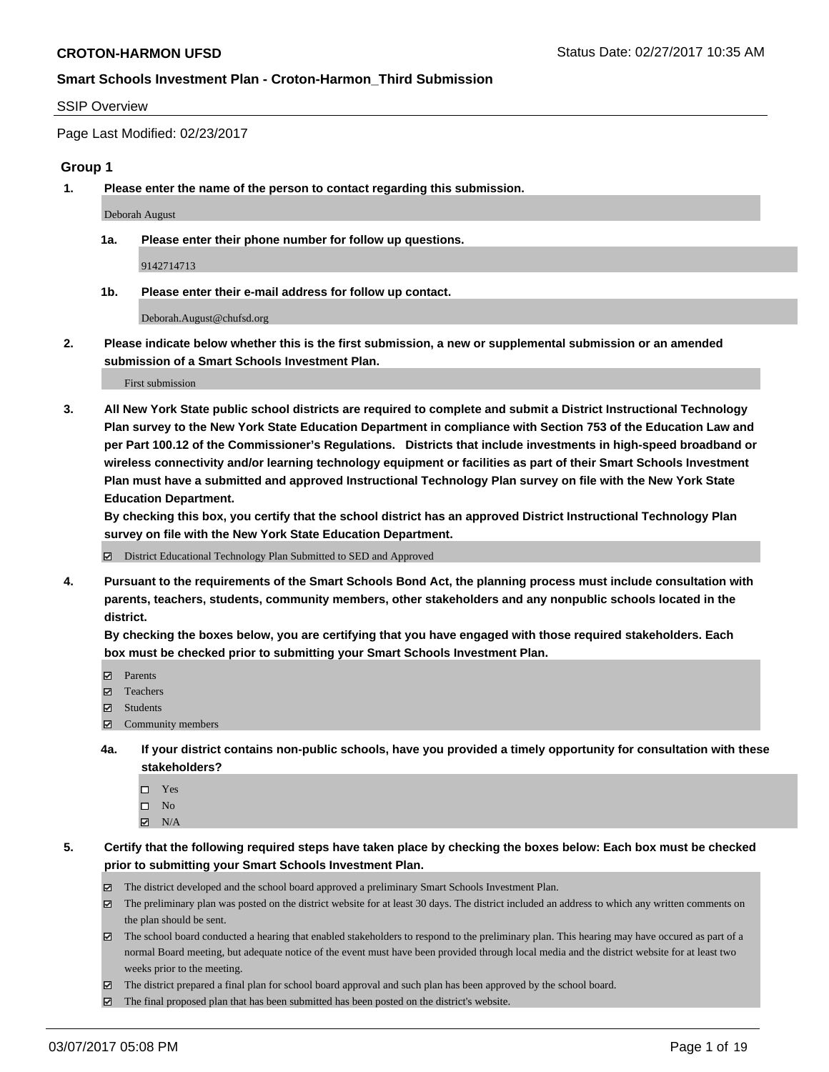#### SSIP Overview

Page Last Modified: 02/23/2017

#### **Group 1**

**1. Please enter the name of the person to contact regarding this submission.**

Deborah August

**1a. Please enter their phone number for follow up questions.**

9142714713

**1b. Please enter their e-mail address for follow up contact.**

Deborah.August@chufsd.org

**2. Please indicate below whether this is the first submission, a new or supplemental submission or an amended submission of a Smart Schools Investment Plan.**

First submission

**3. All New York State public school districts are required to complete and submit a District Instructional Technology Plan survey to the New York State Education Department in compliance with Section 753 of the Education Law and per Part 100.12 of the Commissioner's Regulations. Districts that include investments in high-speed broadband or wireless connectivity and/or learning technology equipment or facilities as part of their Smart Schools Investment Plan must have a submitted and approved Instructional Technology Plan survey on file with the New York State Education Department.** 

**By checking this box, you certify that the school district has an approved District Instructional Technology Plan survey on file with the New York State Education Department.**

District Educational Technology Plan Submitted to SED and Approved

**4. Pursuant to the requirements of the Smart Schools Bond Act, the planning process must include consultation with parents, teachers, students, community members, other stakeholders and any nonpublic schools located in the district.** 

**By checking the boxes below, you are certifying that you have engaged with those required stakeholders. Each box must be checked prior to submitting your Smart Schools Investment Plan.**

- **マ** Parents
- □ Teachers
- Students
- $\Xi$  Community members
- **4a. If your district contains non-public schools, have you provided a timely opportunity for consultation with these stakeholders?**
	- Yes
	- $\hfill \square$  No
	- $\boxtimes$  N/A
- **5. Certify that the following required steps have taken place by checking the boxes below: Each box must be checked prior to submitting your Smart Schools Investment Plan.**
	- The district developed and the school board approved a preliminary Smart Schools Investment Plan.
	- $\boxtimes$  The preliminary plan was posted on the district website for at least 30 days. The district included an address to which any written comments on the plan should be sent.
	- $\boxtimes$  The school board conducted a hearing that enabled stakeholders to respond to the preliminary plan. This hearing may have occured as part of a normal Board meeting, but adequate notice of the event must have been provided through local media and the district website for at least two weeks prior to the meeting.
	- The district prepared a final plan for school board approval and such plan has been approved by the school board.
	- $\boxtimes$  The final proposed plan that has been submitted has been posted on the district's website.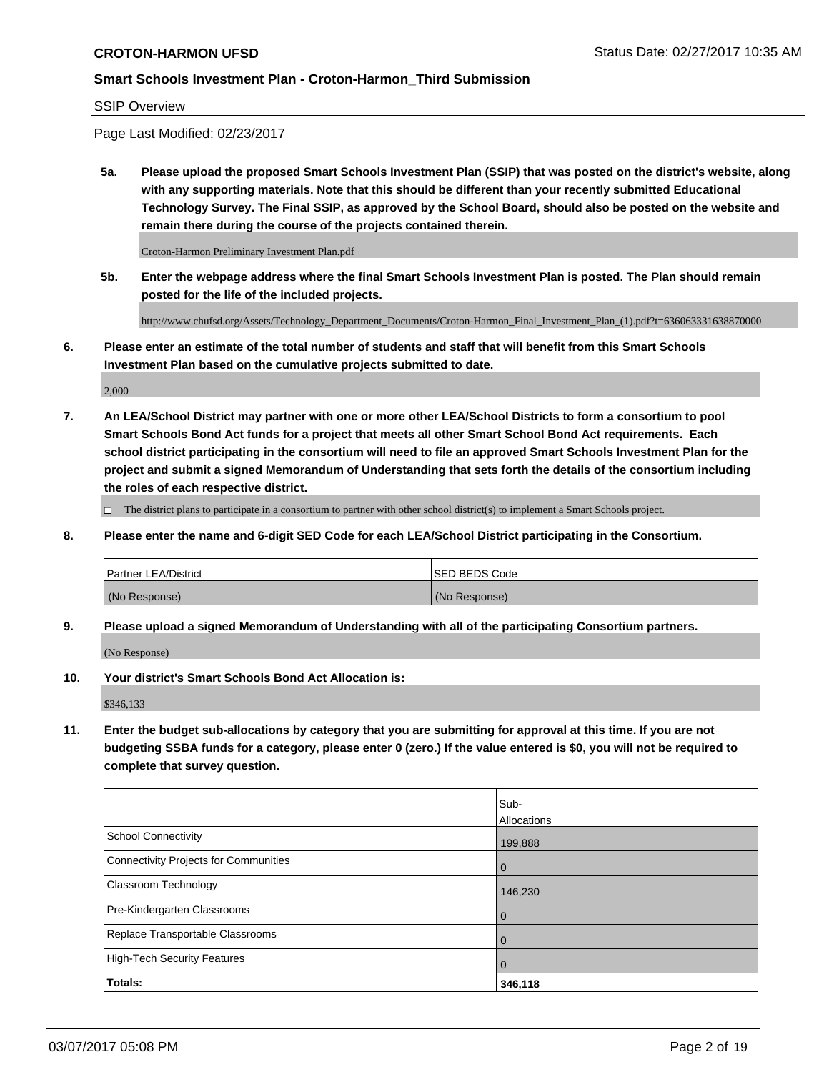SSIP Overview

Page Last Modified: 02/23/2017

**5a. Please upload the proposed Smart Schools Investment Plan (SSIP) that was posted on the district's website, along with any supporting materials. Note that this should be different than your recently submitted Educational Technology Survey. The Final SSIP, as approved by the School Board, should also be posted on the website and remain there during the course of the projects contained therein.**

Croton-Harmon Preliminary Investment Plan.pdf

**5b. Enter the webpage address where the final Smart Schools Investment Plan is posted. The Plan should remain posted for the life of the included projects.**

http://www.chufsd.org/Assets/Technology\_Department\_Documents/Croton-Harmon\_Final\_Investment\_Plan\_(1).pdf?t=636063331638870000

**6. Please enter an estimate of the total number of students and staff that will benefit from this Smart Schools Investment Plan based on the cumulative projects submitted to date.**

2,000

**7. An LEA/School District may partner with one or more other LEA/School Districts to form a consortium to pool Smart Schools Bond Act funds for a project that meets all other Smart School Bond Act requirements. Each school district participating in the consortium will need to file an approved Smart Schools Investment Plan for the project and submit a signed Memorandum of Understanding that sets forth the details of the consortium including the roles of each respective district.**

 $\Box$  The district plans to participate in a consortium to partner with other school district(s) to implement a Smart Schools project.

**8. Please enter the name and 6-digit SED Code for each LEA/School District participating in the Consortium.**

| <b>Partner LEA/District</b> | <b>ISED BEDS Code</b> |
|-----------------------------|-----------------------|
| (No Response)               | (No Response)         |

**9. Please upload a signed Memorandum of Understanding with all of the participating Consortium partners.**

(No Response)

**10. Your district's Smart Schools Bond Act Allocation is:**

\$346,133

**11. Enter the budget sub-allocations by category that you are submitting for approval at this time. If you are not budgeting SSBA funds for a category, please enter 0 (zero.) If the value entered is \$0, you will not be required to complete that survey question.**

|                                       | Sub-        |
|---------------------------------------|-------------|
|                                       | Allocations |
| <b>School Connectivity</b>            | 199,888     |
| Connectivity Projects for Communities | 0           |
| <b>Classroom Technology</b>           | 146,230     |
| Pre-Kindergarten Classrooms           | 0           |
| Replace Transportable Classrooms      | 0           |
| <b>High-Tech Security Features</b>    | 0           |
| Totals:                               | 346,118     |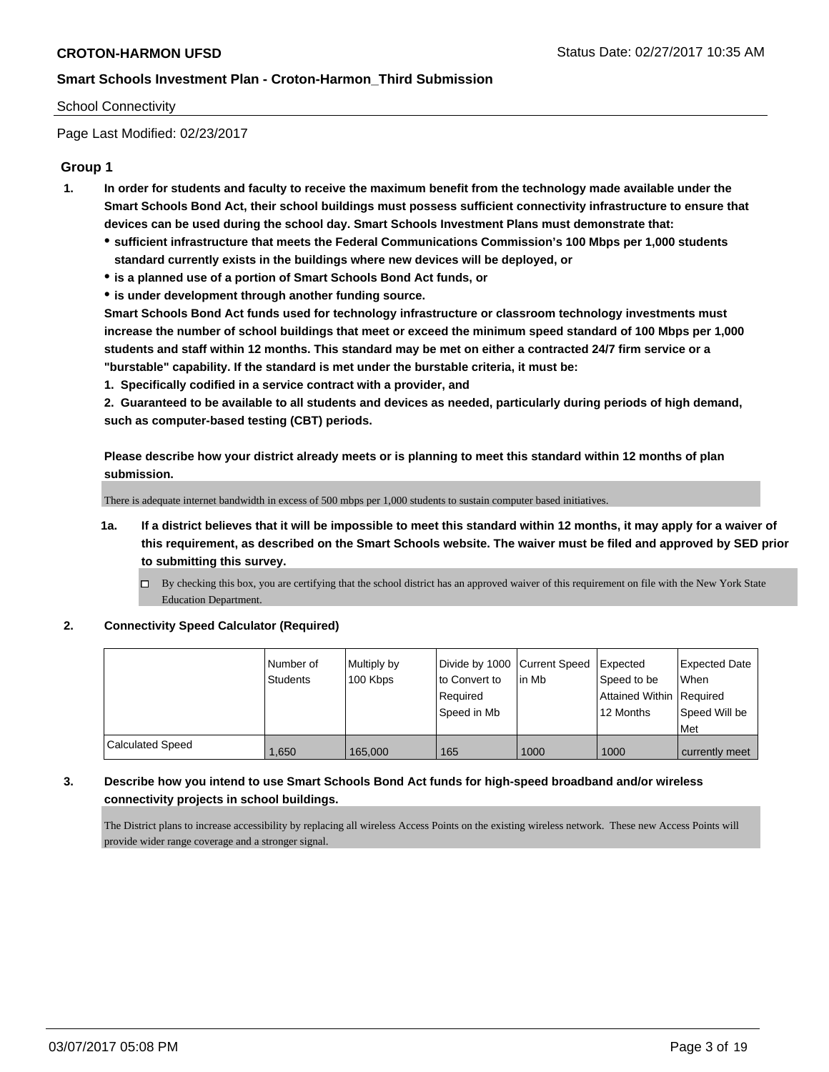#### School Connectivity

Page Last Modified: 02/23/2017

### **Group 1**

- **1. In order for students and faculty to receive the maximum benefit from the technology made available under the Smart Schools Bond Act, their school buildings must possess sufficient connectivity infrastructure to ensure that devices can be used during the school day. Smart Schools Investment Plans must demonstrate that:**
	- **sufficient infrastructure that meets the Federal Communications Commission's 100 Mbps per 1,000 students standard currently exists in the buildings where new devices will be deployed, or**
	- **is a planned use of a portion of Smart Schools Bond Act funds, or**
	- **is under development through another funding source.**

**Smart Schools Bond Act funds used for technology infrastructure or classroom technology investments must increase the number of school buildings that meet or exceed the minimum speed standard of 100 Mbps per 1,000 students and staff within 12 months. This standard may be met on either a contracted 24/7 firm service or a "burstable" capability. If the standard is met under the burstable criteria, it must be:**

**1. Specifically codified in a service contract with a provider, and**

**2. Guaranteed to be available to all students and devices as needed, particularly during periods of high demand, such as computer-based testing (CBT) periods.**

**Please describe how your district already meets or is planning to meet this standard within 12 months of plan submission.**

There is adequate internet bandwidth in excess of 500 mbps per 1,000 students to sustain computer based initiatives.

- **1a. If a district believes that it will be impossible to meet this standard within 12 months, it may apply for a waiver of this requirement, as described on the Smart Schools website. The waiver must be filed and approved by SED prior to submitting this survey.**
	- By checking this box, you are certifying that the school district has an approved waiver of this requirement on file with the New York State Education Department.

#### **2. Connectivity Speed Calculator (Required)**

|                         | l Number of<br><b>Students</b> | Multiply by<br>100 Kbps | Divide by 1000 Current Speed<br>to Convert to<br>Required<br>Speed in Mb | in Mb | <b>Expected</b><br>Speed to be<br>Attained Within   Required<br>12 Months | <b>Expected Date</b><br><b>When</b><br>Speed Will be<br>Met |
|-------------------------|--------------------------------|-------------------------|--------------------------------------------------------------------------|-------|---------------------------------------------------------------------------|-------------------------------------------------------------|
| <b>Calculated Speed</b> | .650                           | 165,000                 | 165                                                                      | 1000  | 1000                                                                      | currently meet                                              |

#### **3. Describe how you intend to use Smart Schools Bond Act funds for high-speed broadband and/or wireless connectivity projects in school buildings.**

The District plans to increase accessibility by replacing all wireless Access Points on the existing wireless network. These new Access Points will provide wider range coverage and a stronger signal.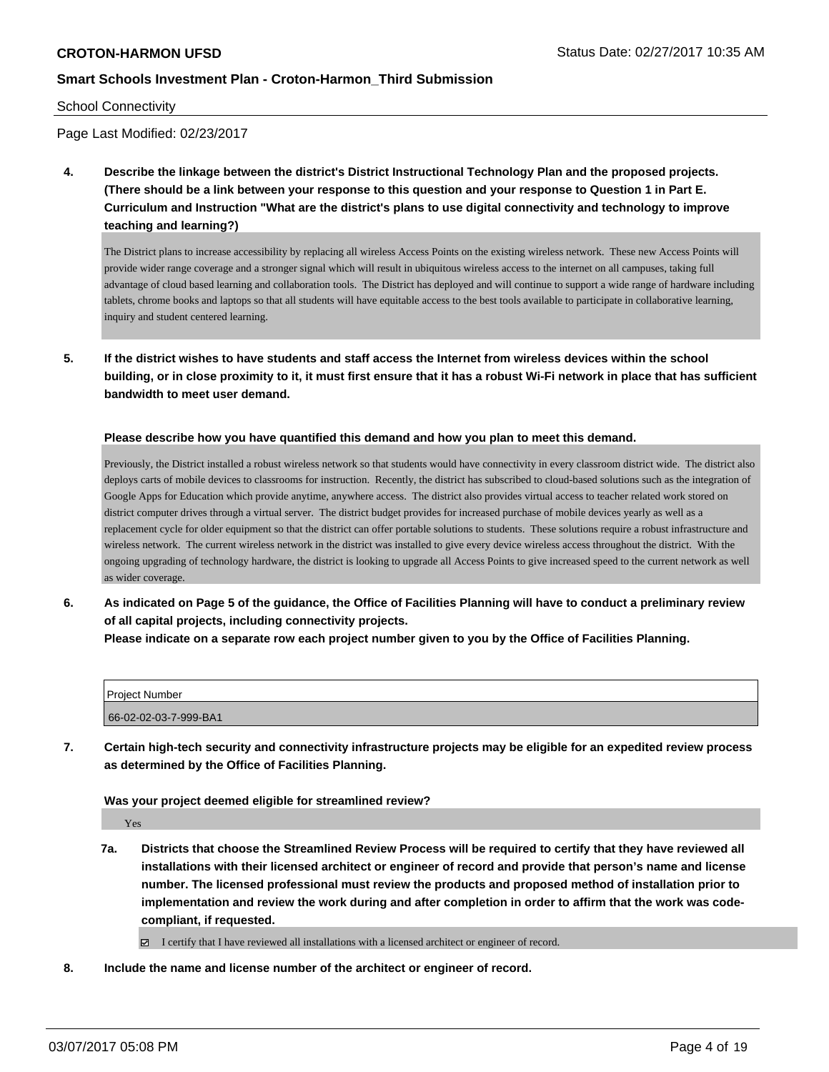#### School Connectivity

Page Last Modified: 02/23/2017

**4. Describe the linkage between the district's District Instructional Technology Plan and the proposed projects. (There should be a link between your response to this question and your response to Question 1 in Part E. Curriculum and Instruction "What are the district's plans to use digital connectivity and technology to improve teaching and learning?)**

The District plans to increase accessibility by replacing all wireless Access Points on the existing wireless network. These new Access Points will provide wider range coverage and a stronger signal which will result in ubiquitous wireless access to the internet on all campuses, taking full advantage of cloud based learning and collaboration tools. The District has deployed and will continue to support a wide range of hardware including tablets, chrome books and laptops so that all students will have equitable access to the best tools available to participate in collaborative learning, inquiry and student centered learning.

**5. If the district wishes to have students and staff access the Internet from wireless devices within the school building, or in close proximity to it, it must first ensure that it has a robust Wi-Fi network in place that has sufficient bandwidth to meet user demand.**

#### **Please describe how you have quantified this demand and how you plan to meet this demand.**

Previously, the District installed a robust wireless network so that students would have connectivity in every classroom district wide. The district also deploys carts of mobile devices to classrooms for instruction. Recently, the district has subscribed to cloud-based solutions such as the integration of Google Apps for Education which provide anytime, anywhere access. The district also provides virtual access to teacher related work stored on district computer drives through a virtual server. The district budget provides for increased purchase of mobile devices yearly as well as a replacement cycle for older equipment so that the district can offer portable solutions to students. These solutions require a robust infrastructure and wireless network. The current wireless network in the district was installed to give every device wireless access throughout the district. With the ongoing upgrading of technology hardware, the district is looking to upgrade all Access Points to give increased speed to the current network as well as wider coverage.

**6. As indicated on Page 5 of the guidance, the Office of Facilities Planning will have to conduct a preliminary review of all capital projects, including connectivity projects.**

**Please indicate on a separate row each project number given to you by the Office of Facilities Planning.**

| <b>Project Number</b> |  |
|-----------------------|--|
| 66-02-02-03-7-999-BA1 |  |

**7. Certain high-tech security and connectivity infrastructure projects may be eligible for an expedited review process as determined by the Office of Facilities Planning.**

**Was your project deemed eligible for streamlined review?**

Yes

**7a. Districts that choose the Streamlined Review Process will be required to certify that they have reviewed all installations with their licensed architect or engineer of record and provide that person's name and license number. The licensed professional must review the products and proposed method of installation prior to implementation and review the work during and after completion in order to affirm that the work was codecompliant, if requested.**

I certify that I have reviewed all installations with a licensed architect or engineer of record.

**8. Include the name and license number of the architect or engineer of record.**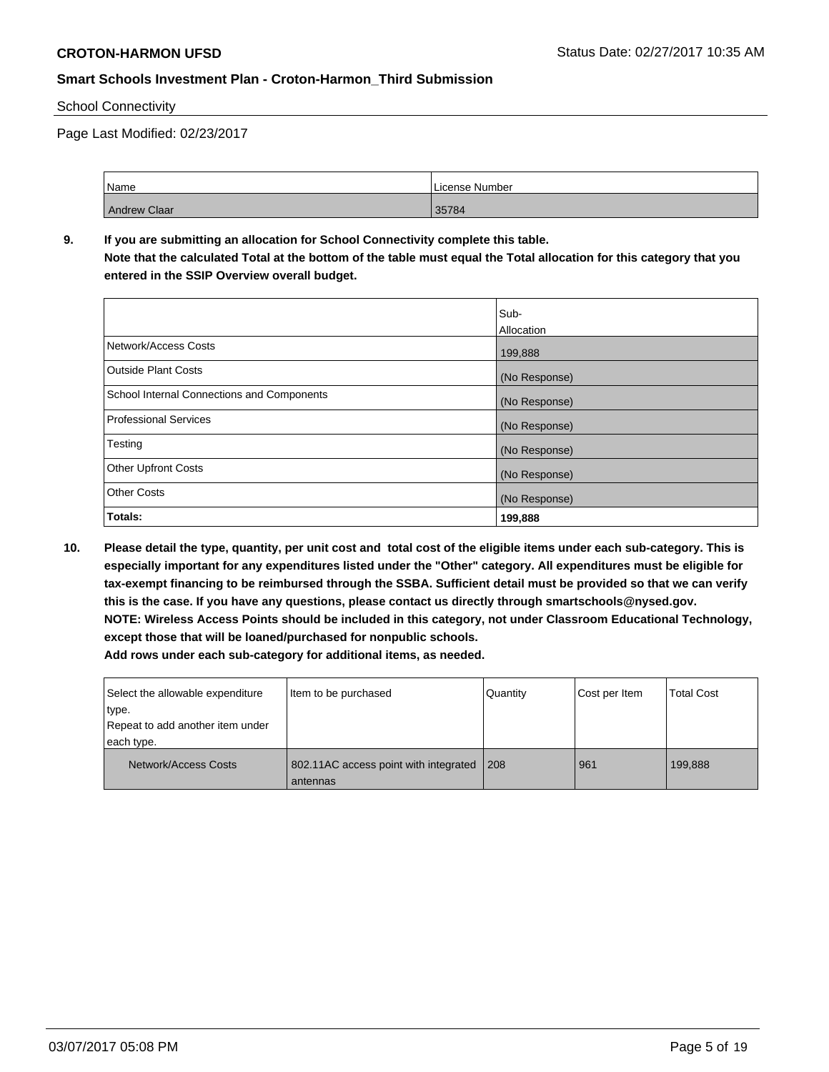#### School Connectivity

Page Last Modified: 02/23/2017

| Name         | License Number |
|--------------|----------------|
| Andrew Claar | 35784          |

# **9. If you are submitting an allocation for School Connectivity complete this table.**

**Note that the calculated Total at the bottom of the table must equal the Total allocation for this category that you entered in the SSIP Overview overall budget.** 

|                                                   | Sub-<br>Allocation |
|---------------------------------------------------|--------------------|
| Network/Access Costs                              | 199,888            |
| <b>Outside Plant Costs</b>                        | (No Response)      |
| <b>School Internal Connections and Components</b> | (No Response)      |
| <b>Professional Services</b>                      | (No Response)      |
| Testing                                           | (No Response)      |
| <b>Other Upfront Costs</b>                        | (No Response)      |
| <b>Other Costs</b>                                | (No Response)      |
| Totals:                                           | 199,888            |

**10. Please detail the type, quantity, per unit cost and total cost of the eligible items under each sub-category. This is especially important for any expenditures listed under the "Other" category. All expenditures must be eligible for tax-exempt financing to be reimbursed through the SSBA. Sufficient detail must be provided so that we can verify this is the case. If you have any questions, please contact us directly through smartschools@nysed.gov. NOTE: Wireless Access Points should be included in this category, not under Classroom Educational Technology, except those that will be loaned/purchased for nonpublic schools. Add rows under each sub-category for additional items, as needed.**

| Select the allowable expenditure<br>type.<br>Repeat to add another item under<br>each type. | Item to be purchased                              | Quantity | Cost per Item | <b>Total Cost</b> |
|---------------------------------------------------------------------------------------------|---------------------------------------------------|----------|---------------|-------------------|
| Network/Access Costs                                                                        | 802.11AC access point with integrated<br>antennas | 208      | 961           | 199,888           |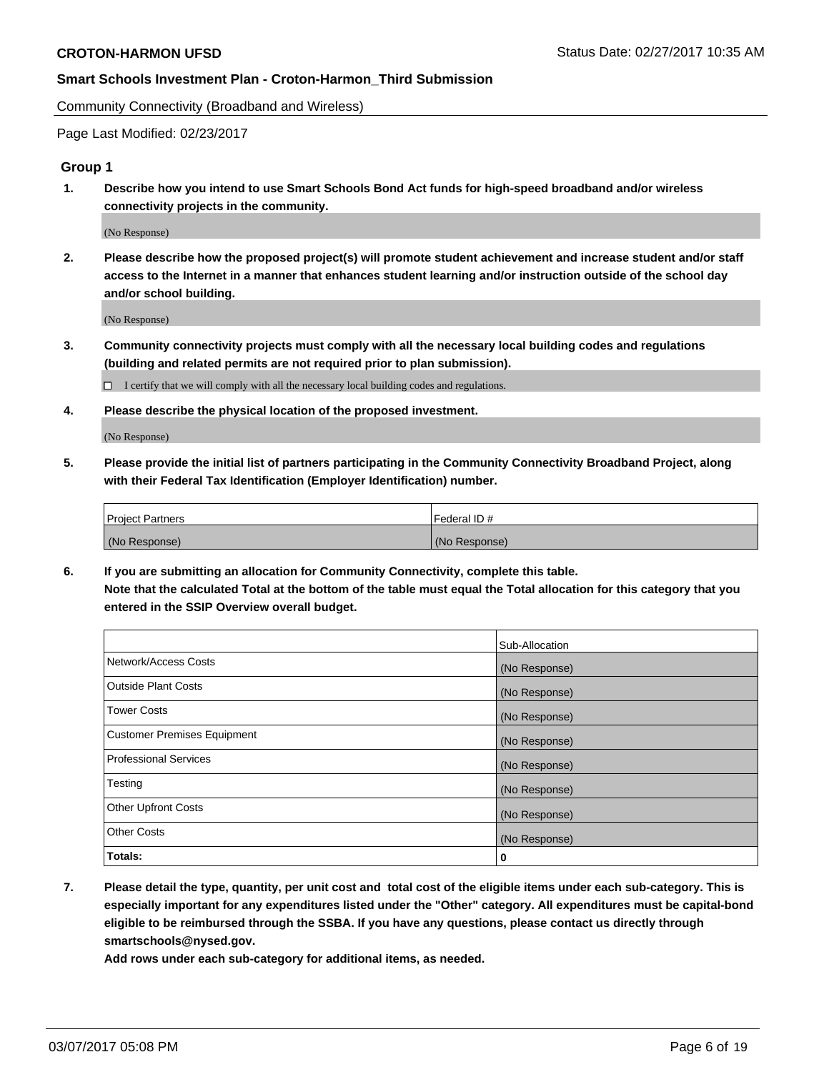Community Connectivity (Broadband and Wireless)

Page Last Modified: 02/23/2017

#### **Group 1**

**1. Describe how you intend to use Smart Schools Bond Act funds for high-speed broadband and/or wireless connectivity projects in the community.**

(No Response)

**2. Please describe how the proposed project(s) will promote student achievement and increase student and/or staff access to the Internet in a manner that enhances student learning and/or instruction outside of the school day and/or school building.**

(No Response)

**3. Community connectivity projects must comply with all the necessary local building codes and regulations (building and related permits are not required prior to plan submission).**

 $\Box$  I certify that we will comply with all the necessary local building codes and regulations.

**4. Please describe the physical location of the proposed investment.**

(No Response)

**5. Please provide the initial list of partners participating in the Community Connectivity Broadband Project, along with their Federal Tax Identification (Employer Identification) number.**

| <b>Project Partners</b> | Federal ID#     |
|-------------------------|-----------------|
| (No Response)           | l (No Response) |

**6. If you are submitting an allocation for Community Connectivity, complete this table. Note that the calculated Total at the bottom of the table must equal the Total allocation for this category that you entered in the SSIP Overview overall budget.**

|                                    | Sub-Allocation |
|------------------------------------|----------------|
| Network/Access Costs               | (No Response)  |
| Outside Plant Costs                | (No Response)  |
| <b>Tower Costs</b>                 | (No Response)  |
| <b>Customer Premises Equipment</b> | (No Response)  |
| <b>Professional Services</b>       | (No Response)  |
| Testing                            | (No Response)  |
| <b>Other Upfront Costs</b>         | (No Response)  |
| <b>Other Costs</b>                 | (No Response)  |
| Totals:                            | 0              |

**7. Please detail the type, quantity, per unit cost and total cost of the eligible items under each sub-category. This is especially important for any expenditures listed under the "Other" category. All expenditures must be capital-bond eligible to be reimbursed through the SSBA. If you have any questions, please contact us directly through smartschools@nysed.gov.**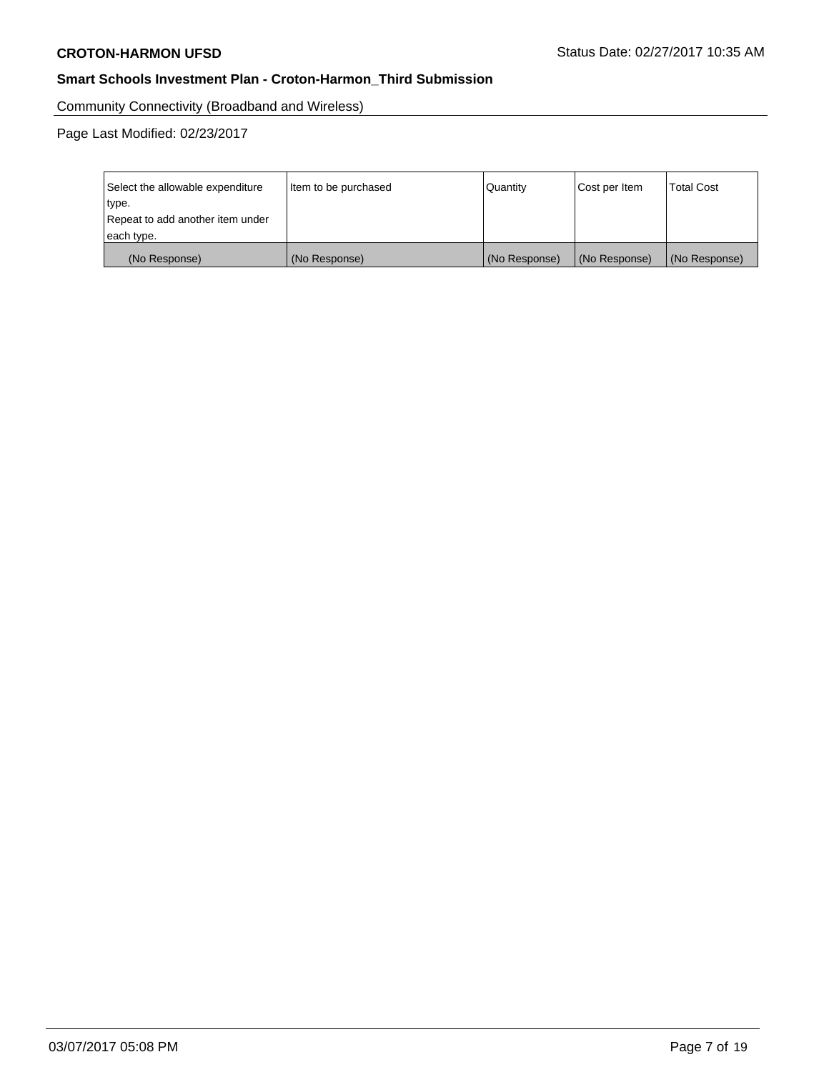Community Connectivity (Broadband and Wireless)

| Select the allowable expenditure | Item to be purchased | Quantity      | Cost per Item | <b>Total Cost</b> |
|----------------------------------|----------------------|---------------|---------------|-------------------|
| type.                            |                      |               |               |                   |
| Repeat to add another item under |                      |               |               |                   |
| each type.                       |                      |               |               |                   |
| (No Response)                    | (No Response)        | (No Response) | (No Response) | (No Response)     |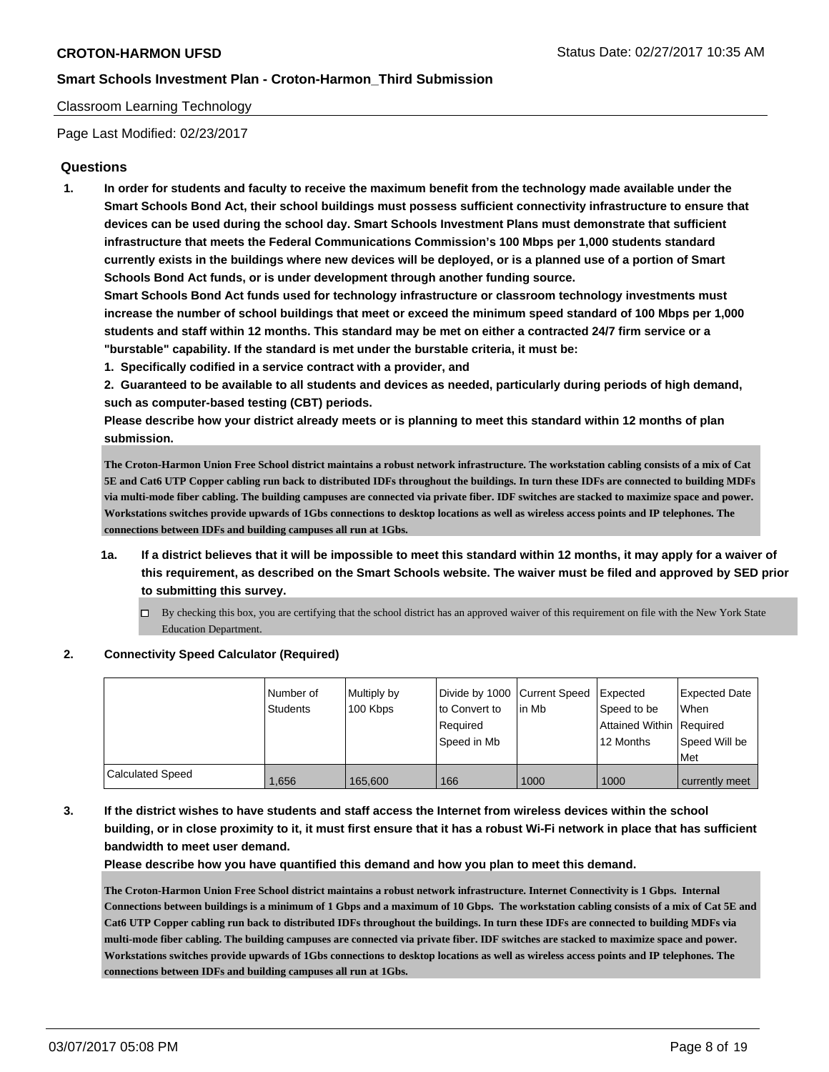#### Classroom Learning Technology

Page Last Modified: 02/23/2017

### **Questions**

**1. In order for students and faculty to receive the maximum benefit from the technology made available under the Smart Schools Bond Act, their school buildings must possess sufficient connectivity infrastructure to ensure that devices can be used during the school day. Smart Schools Investment Plans must demonstrate that sufficient infrastructure that meets the Federal Communications Commission's 100 Mbps per 1,000 students standard currently exists in the buildings where new devices will be deployed, or is a planned use of a portion of Smart Schools Bond Act funds, or is under development through another funding source.**

**Smart Schools Bond Act funds used for technology infrastructure or classroom technology investments must increase the number of school buildings that meet or exceed the minimum speed standard of 100 Mbps per 1,000 students and staff within 12 months. This standard may be met on either a contracted 24/7 firm service or a "burstable" capability. If the standard is met under the burstable criteria, it must be:**

**1. Specifically codified in a service contract with a provider, and**

**2. Guaranteed to be available to all students and devices as needed, particularly during periods of high demand, such as computer-based testing (CBT) periods.**

**Please describe how your district already meets or is planning to meet this standard within 12 months of plan submission.**

**The Croton-Harmon Union Free School district maintains a robust network infrastructure. The workstation cabling consists of a mix of Cat 5E and Cat6 UTP Copper cabling run back to distributed IDFs throughout the buildings. In turn these IDFs are connected to building MDFs via multi-mode fiber cabling. The building campuses are connected via private fiber. IDF switches are stacked to maximize space and power. Workstations switches provide upwards of 1Gbs connections to desktop locations as well as wireless access points and IP telephones. The connections between IDFs and building campuses all run at 1Gbs.** 

- **1a. If a district believes that it will be impossible to meet this standard within 12 months, it may apply for a waiver of this requirement, as described on the Smart Schools website. The waiver must be filed and approved by SED prior to submitting this survey.**
	- $\Box$  By checking this box, you are certifying that the school district has an approved waiver of this requirement on file with the New York State Education Department.

#### **2. Connectivity Speed Calculator (Required)**

|                         | Number of<br><b>Students</b> | Multiply by<br>100 Kbps | Divide by 1000 Current Speed<br>to Convert to<br>Reauired<br>Speed in Mb | lin Mb | Expected<br>Speed to be<br>Attained Within Required<br>12 Months | <b>Expected Date</b><br><b>When</b><br>Speed Will be<br>Met |
|-------------------------|------------------------------|-------------------------|--------------------------------------------------------------------------|--------|------------------------------------------------------------------|-------------------------------------------------------------|
| <b>Calculated Speed</b> | 1.656                        | 165.600                 | 166                                                                      | 1000   | 1000                                                             | currently meet                                              |

**3. If the district wishes to have students and staff access the Internet from wireless devices within the school building, or in close proximity to it, it must first ensure that it has a robust Wi-Fi network in place that has sufficient bandwidth to meet user demand.**

**Please describe how you have quantified this demand and how you plan to meet this demand.**

**The Croton-Harmon Union Free School district maintains a robust network infrastructure. Internet Connectivity is 1 Gbps. Internal Connections between buildings is a minimum of 1 Gbps and a maximum of 10 Gbps. The workstation cabling consists of a mix of Cat 5E and Cat6 UTP Copper cabling run back to distributed IDFs throughout the buildings. In turn these IDFs are connected to building MDFs via multi-mode fiber cabling. The building campuses are connected via private fiber. IDF switches are stacked to maximize space and power. Workstations switches provide upwards of 1Gbs connections to desktop locations as well as wireless access points and IP telephones. The connections between IDFs and building campuses all run at 1Gbs.**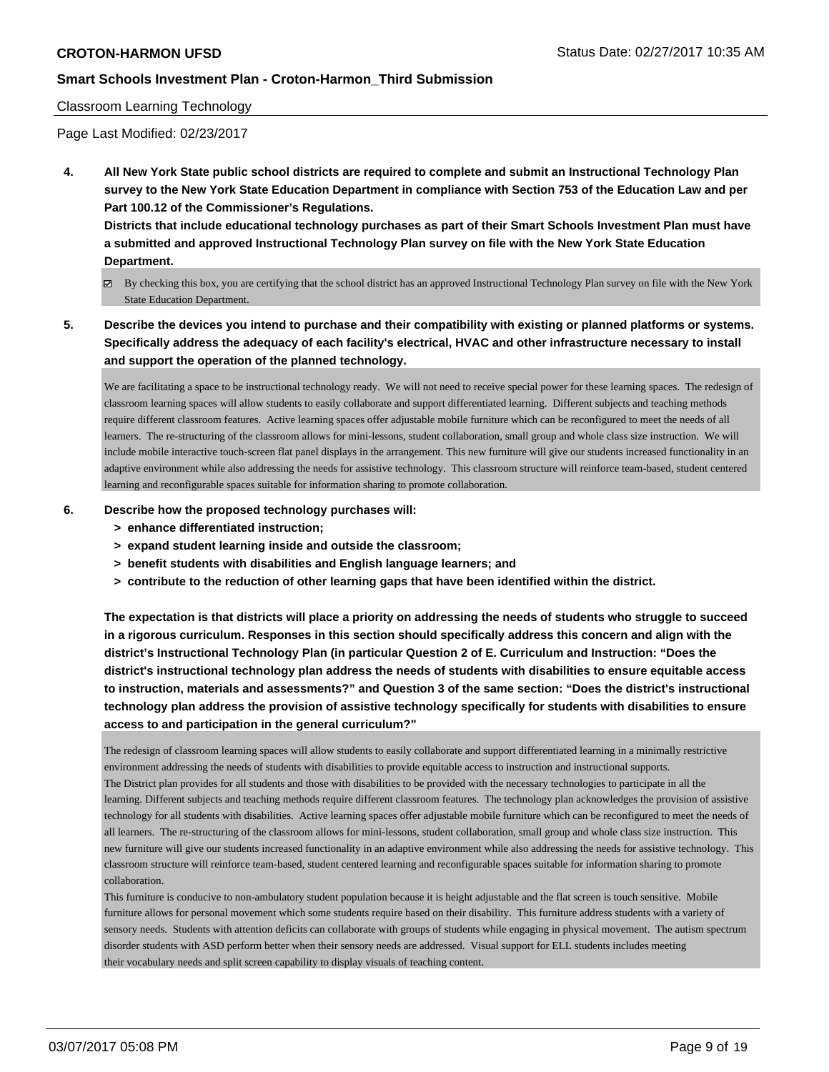#### Classroom Learning Technology

Page Last Modified: 02/23/2017

**4. All New York State public school districts are required to complete and submit an Instructional Technology Plan survey to the New York State Education Department in compliance with Section 753 of the Education Law and per Part 100.12 of the Commissioner's Regulations.**

**Districts that include educational technology purchases as part of their Smart Schools Investment Plan must have a submitted and approved Instructional Technology Plan survey on file with the New York State Education Department.**

- By checking this box, you are certifying that the school district has an approved Instructional Technology Plan survey on file with the New York State Education Department.
- **5. Describe the devices you intend to purchase and their compatibility with existing or planned platforms or systems. Specifically address the adequacy of each facility's electrical, HVAC and other infrastructure necessary to install and support the operation of the planned technology.**

We are facilitating a space to be instructional technology ready. We will not need to receive special power for these learning spaces. The redesign of classroom learning spaces will allow students to easily collaborate and support differentiated learning. Different subjects and teaching methods require different classroom features. Active learning spaces offer adjustable mobile furniture which can be reconfigured to meet the needs of all learners. The re-structuring of the classroom allows for mini-lessons, student collaboration, small group and whole class size instruction. We will include mobile interactive touch-screen flat panel displays in the arrangement. This new furniture will give our students increased functionality in an adaptive environment while also addressing the needs for assistive technology. This classroom structure will reinforce team-based, student centered learning and reconfigurable spaces suitable for information sharing to promote collaboration.

#### **6. Describe how the proposed technology purchases will:**

- **> enhance differentiated instruction;**
- **> expand student learning inside and outside the classroom;**
- **> benefit students with disabilities and English language learners; and**
- **> contribute to the reduction of other learning gaps that have been identified within the district.**

**The expectation is that districts will place a priority on addressing the needs of students who struggle to succeed in a rigorous curriculum. Responses in this section should specifically address this concern and align with the district's Instructional Technology Plan (in particular Question 2 of E. Curriculum and Instruction: "Does the district's instructional technology plan address the needs of students with disabilities to ensure equitable access to instruction, materials and assessments?" and Question 3 of the same section: "Does the district's instructional technology plan address the provision of assistive technology specifically for students with disabilities to ensure access to and participation in the general curriculum?"**

The redesign of classroom learning spaces will allow students to easily collaborate and support differentiated learning in a minimally restrictive environment addressing the needs of students with disabilities to provide equitable access to instruction and instructional supports. The District plan provides for all students and those with disabilities to be provided with the necessary technologies to participate in all the learning. Different subjects and teaching methods require different classroom features. The technology plan acknowledges the provision of assistive technology for all students with disabilities. Active learning spaces offer adjustable mobile furniture which can be reconfigured to meet the needs of all learners. The re-structuring of the classroom allows for mini-lessons, student collaboration, small group and whole class size instruction. This new furniture will give our students increased functionality in an adaptive environment while also addressing the needs for assistive technology. This classroom structure will reinforce team-based, student centered learning and reconfigurable spaces suitable for information sharing to promote collaboration.

This furniture is conducive to non-ambulatory student population because it is height adjustable and the flat screen is touch sensitive. Mobile furniture allows for personal movement which some students require based on their disability. This furniture address students with a variety of sensory needs. Students with attention deficits can collaborate with groups of students while engaging in physical movement. The autism spectrum disorder students with ASD perform better when their sensory needs are addressed. Visual support for ELL students includes meeting their vocabulary needs and split screen capability to display visuals of teaching content.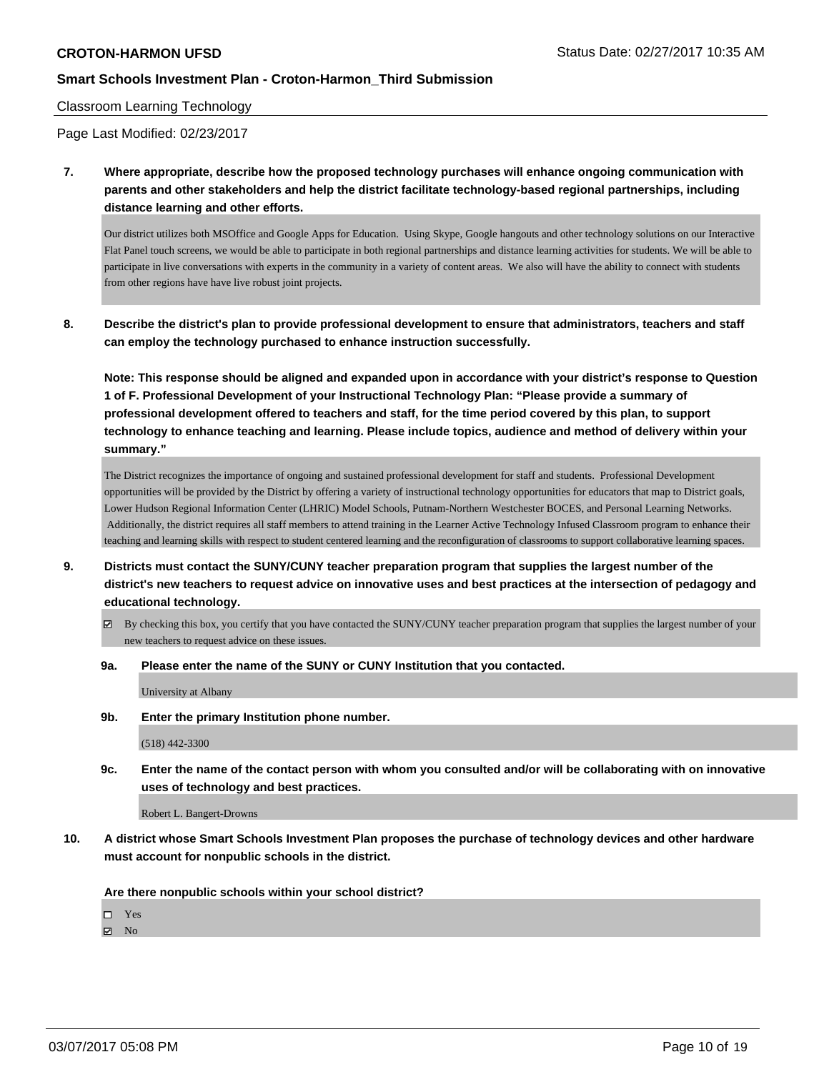#### Classroom Learning Technology

Page Last Modified: 02/23/2017

**7. Where appropriate, describe how the proposed technology purchases will enhance ongoing communication with parents and other stakeholders and help the district facilitate technology-based regional partnerships, including distance learning and other efforts.**

Our district utilizes both MSOffice and Google Apps for Education. Using Skype, Google hangouts and other technology solutions on our Interactive Flat Panel touch screens, we would be able to participate in both regional partnerships and distance learning activities for students. We will be able to participate in live conversations with experts in the community in a variety of content areas. We also will have the ability to connect with students from other regions have have live robust joint projects.

**8. Describe the district's plan to provide professional development to ensure that administrators, teachers and staff can employ the technology purchased to enhance instruction successfully.**

**Note: This response should be aligned and expanded upon in accordance with your district's response to Question 1 of F. Professional Development of your Instructional Technology Plan: "Please provide a summary of professional development offered to teachers and staff, for the time period covered by this plan, to support technology to enhance teaching and learning. Please include topics, audience and method of delivery within your summary."**

The District recognizes the importance of ongoing and sustained professional development for staff and students. Professional Development opportunities will be provided by the District by offering a variety of instructional technology opportunities for educators that map to District goals, Lower Hudson Regional Information Center (LHRIC) Model Schools, Putnam-Northern Westchester BOCES, and Personal Learning Networks. Additionally, the district requires all staff members to attend training in the Learner Active Technology Infused Classroom program to enhance their teaching and learning skills with respect to student centered learning and the reconfiguration of classrooms to support collaborative learning spaces.

- **9. Districts must contact the SUNY/CUNY teacher preparation program that supplies the largest number of the district's new teachers to request advice on innovative uses and best practices at the intersection of pedagogy and educational technology.**
	- $\boxtimes$  By checking this box, you certify that you have contacted the SUNY/CUNY teacher preparation program that supplies the largest number of your new teachers to request advice on these issues.
	- **9a. Please enter the name of the SUNY or CUNY Institution that you contacted.**

University at Albany

**9b. Enter the primary Institution phone number.**

(518) 442-3300

**9c. Enter the name of the contact person with whom you consulted and/or will be collaborating with on innovative uses of technology and best practices.**

Robert L. Bangert-Drowns

**10. A district whose Smart Schools Investment Plan proposes the purchase of technology devices and other hardware must account for nonpublic schools in the district.**

**Are there nonpublic schools within your school district?**

□ Yes

 $\blacksquare$  No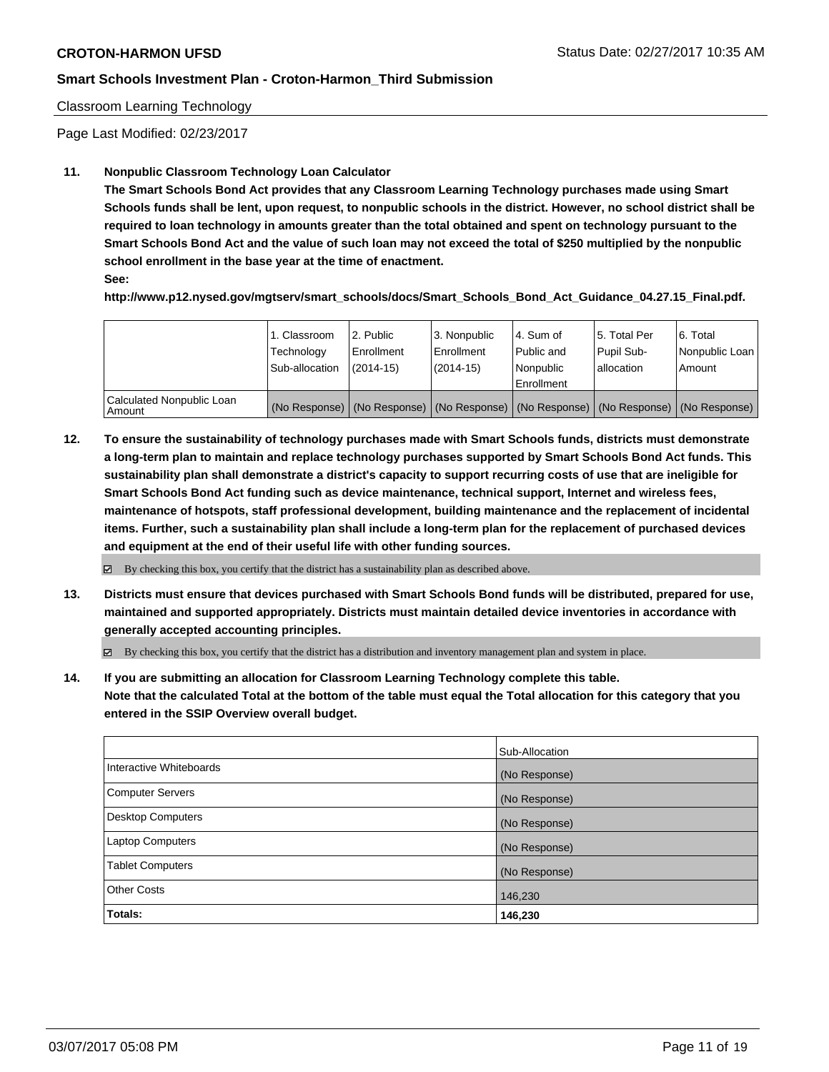#### Classroom Learning Technology

Page Last Modified: 02/23/2017

#### **11. Nonpublic Classroom Technology Loan Calculator**

**The Smart Schools Bond Act provides that any Classroom Learning Technology purchases made using Smart Schools funds shall be lent, upon request, to nonpublic schools in the district. However, no school district shall be required to loan technology in amounts greater than the total obtained and spent on technology pursuant to the Smart Schools Bond Act and the value of such loan may not exceed the total of \$250 multiplied by the nonpublic school enrollment in the base year at the time of enactment.**

**See:**

**http://www.p12.nysed.gov/mgtserv/smart\_schools/docs/Smart\_Schools\_Bond\_Act\_Guidance\_04.27.15\_Final.pdf.**

|                                       | 1. Classroom<br>Technology<br>Sub-allocation | 2. Public<br>l Enrollment<br>$(2014-15)$ | 3. Nonpublic<br>Enrollment<br>$(2014-15)$ | l 4. Sum of<br>Public and<br>l Nonpublic<br>l Enrollment | 15. Total Per<br>Pupil Sub-<br>lallocation | 6. Total<br>Nonpublic Loan<br>Amount                                                          |
|---------------------------------------|----------------------------------------------|------------------------------------------|-------------------------------------------|----------------------------------------------------------|--------------------------------------------|-----------------------------------------------------------------------------------------------|
| Calculated Nonpublic Loan<br>l Amount |                                              |                                          |                                           |                                                          |                                            | (No Response)   (No Response)   (No Response)   (No Response)   (No Response)   (No Response) |

**12. To ensure the sustainability of technology purchases made with Smart Schools funds, districts must demonstrate a long-term plan to maintain and replace technology purchases supported by Smart Schools Bond Act funds. This sustainability plan shall demonstrate a district's capacity to support recurring costs of use that are ineligible for Smart Schools Bond Act funding such as device maintenance, technical support, Internet and wireless fees, maintenance of hotspots, staff professional development, building maintenance and the replacement of incidental items. Further, such a sustainability plan shall include a long-term plan for the replacement of purchased devices and equipment at the end of their useful life with other funding sources.**

 $\boxtimes$  By checking this box, you certify that the district has a sustainability plan as described above.

**13. Districts must ensure that devices purchased with Smart Schools Bond funds will be distributed, prepared for use, maintained and supported appropriately. Districts must maintain detailed device inventories in accordance with generally accepted accounting principles.**

By checking this box, you certify that the district has a distribution and inventory management plan and system in place.

**14. If you are submitting an allocation for Classroom Learning Technology complete this table. Note that the calculated Total at the bottom of the table must equal the Total allocation for this category that you entered in the SSIP Overview overall budget.**

|                          | Sub-Allocation |
|--------------------------|----------------|
| Interactive Whiteboards  | (No Response)  |
| Computer Servers         | (No Response)  |
| <b>Desktop Computers</b> | (No Response)  |
| <b>Laptop Computers</b>  | (No Response)  |
| <b>Tablet Computers</b>  | (No Response)  |
| <b>Other Costs</b>       | 146,230        |
| Totals:                  | 146,230        |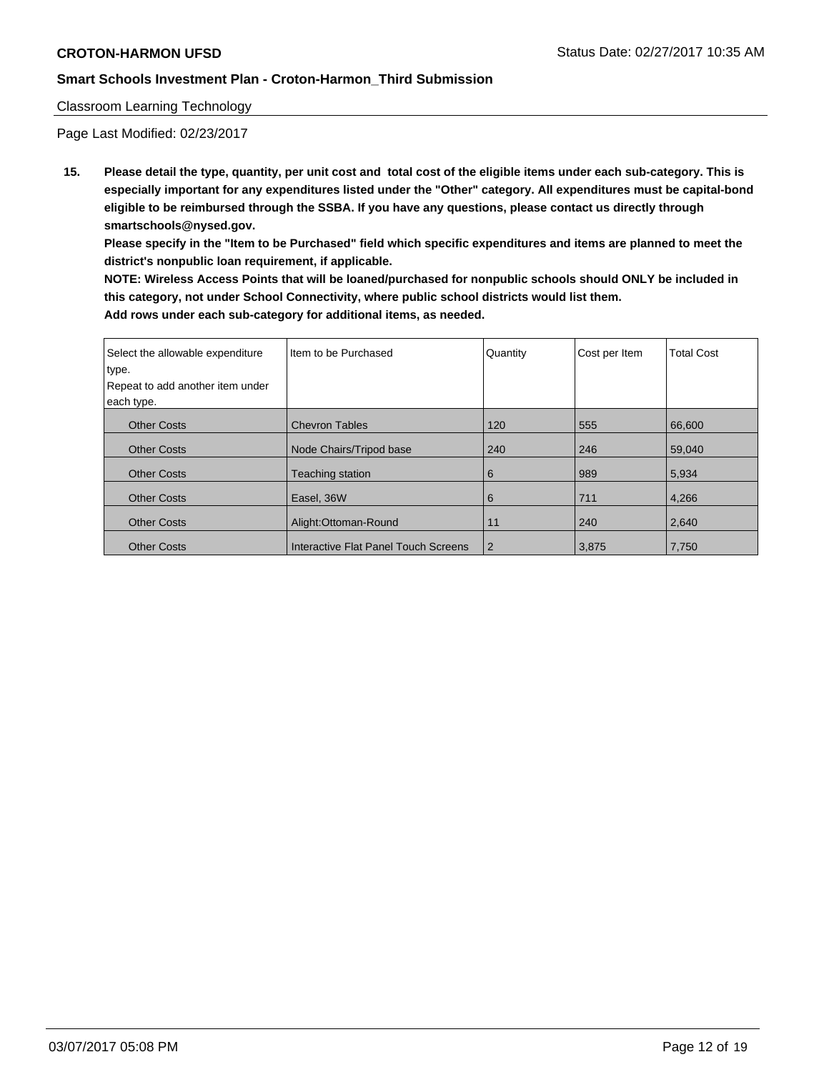### Classroom Learning Technology

Page Last Modified: 02/23/2017

**15. Please detail the type, quantity, per unit cost and total cost of the eligible items under each sub-category. This is especially important for any expenditures listed under the "Other" category. All expenditures must be capital-bond eligible to be reimbursed through the SSBA. If you have any questions, please contact us directly through smartschools@nysed.gov.**

**Please specify in the "Item to be Purchased" field which specific expenditures and items are planned to meet the district's nonpublic loan requirement, if applicable.**

**NOTE: Wireless Access Points that will be loaned/purchased for nonpublic schools should ONLY be included in this category, not under School Connectivity, where public school districts would list them. Add rows under each sub-category for additional items, as needed.**

| Select the allowable expenditure | I Item to be Purchased               | Quantity | Cost per Item | <b>Total Cost</b> |
|----------------------------------|--------------------------------------|----------|---------------|-------------------|
| type.                            |                                      |          |               |                   |
| Repeat to add another item under |                                      |          |               |                   |
| each type.                       |                                      |          |               |                   |
| <b>Other Costs</b>               | <b>Chevron Tables</b>                | 120      | 555           | 66,600            |
| <b>Other Costs</b>               | Node Chairs/Tripod base              | 240      | 246           | 59.040            |
| <b>Other Costs</b>               | <b>Teaching station</b>              | 6        | 989           | 5,934             |
| <b>Other Costs</b>               | Easel, 36W                           | 6        | 711           | 4,266             |
| <b>Other Costs</b>               | Alight:Ottoman-Round                 | 11       | 240           | 2,640             |
| <b>Other Costs</b>               | Interactive Flat Panel Touch Screens | 2        | 3.875         | 7,750             |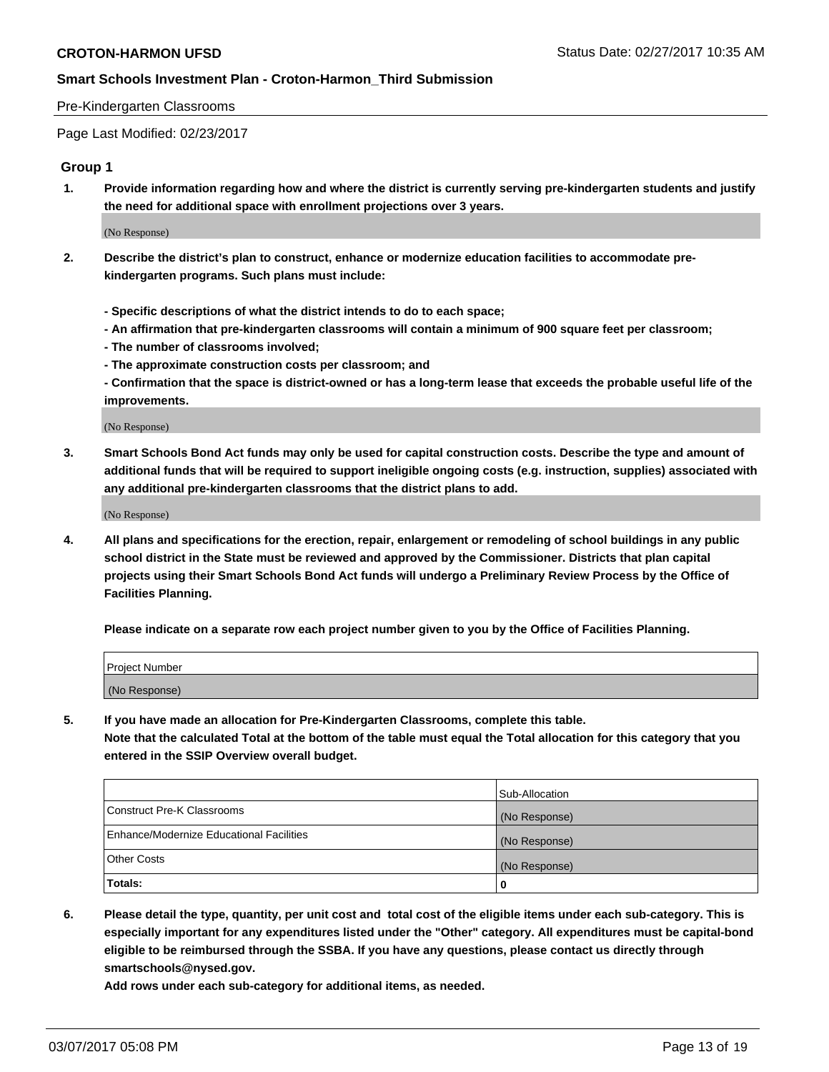#### Pre-Kindergarten Classrooms

Page Last Modified: 02/23/2017

### **Group 1**

**1. Provide information regarding how and where the district is currently serving pre-kindergarten students and justify the need for additional space with enrollment projections over 3 years.**

(No Response)

- **2. Describe the district's plan to construct, enhance or modernize education facilities to accommodate prekindergarten programs. Such plans must include:**
	- **Specific descriptions of what the district intends to do to each space;**
	- **An affirmation that pre-kindergarten classrooms will contain a minimum of 900 square feet per classroom;**
	- **The number of classrooms involved;**
	- **The approximate construction costs per classroom; and**
	- **Confirmation that the space is district-owned or has a long-term lease that exceeds the probable useful life of the improvements.**

(No Response)

**3. Smart Schools Bond Act funds may only be used for capital construction costs. Describe the type and amount of additional funds that will be required to support ineligible ongoing costs (e.g. instruction, supplies) associated with any additional pre-kindergarten classrooms that the district plans to add.**

(No Response)

**4. All plans and specifications for the erection, repair, enlargement or remodeling of school buildings in any public school district in the State must be reviewed and approved by the Commissioner. Districts that plan capital projects using their Smart Schools Bond Act funds will undergo a Preliminary Review Process by the Office of Facilities Planning.**

**Please indicate on a separate row each project number given to you by the Office of Facilities Planning.**

| Project Number |  |
|----------------|--|
| (No Response)  |  |

**5. If you have made an allocation for Pre-Kindergarten Classrooms, complete this table. Note that the calculated Total at the bottom of the table must equal the Total allocation for this category that you entered in the SSIP Overview overall budget.**

| Totals:                                  | 0              |
|------------------------------------------|----------------|
| Other Costs                              | (No Response)  |
| Enhance/Modernize Educational Facilities | (No Response)  |
| Construct Pre-K Classrooms               | (No Response)  |
|                                          | Sub-Allocation |

**6. Please detail the type, quantity, per unit cost and total cost of the eligible items under each sub-category. This is especially important for any expenditures listed under the "Other" category. All expenditures must be capital-bond eligible to be reimbursed through the SSBA. If you have any questions, please contact us directly through smartschools@nysed.gov.**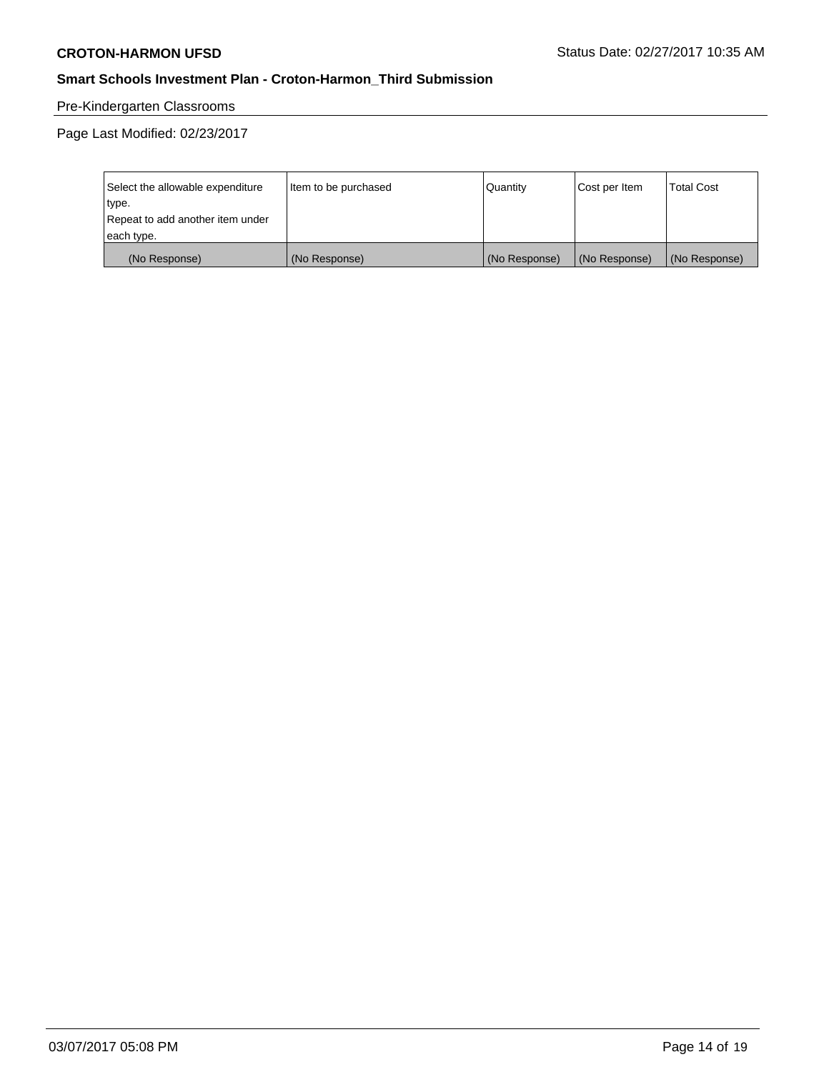# Pre-Kindergarten Classrooms

| Select the allowable expenditure | Item to be purchased | Quantity      | Cost per Item | <b>Total Cost</b> |
|----------------------------------|----------------------|---------------|---------------|-------------------|
| type.                            |                      |               |               |                   |
| Repeat to add another item under |                      |               |               |                   |
| each type.                       |                      |               |               |                   |
| (No Response)                    | (No Response)        | (No Response) | (No Response) | (No Response)     |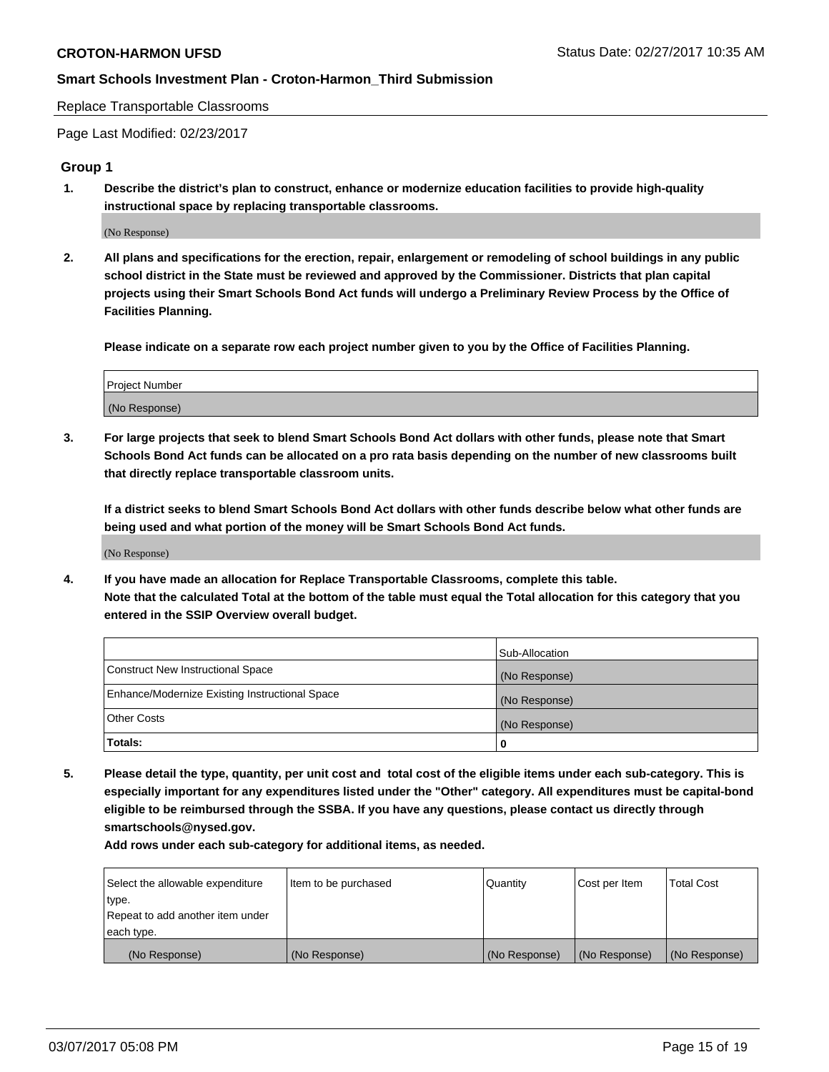Replace Transportable Classrooms

Page Last Modified: 02/23/2017

#### **Group 1**

**1. Describe the district's plan to construct, enhance or modernize education facilities to provide high-quality instructional space by replacing transportable classrooms.**

(No Response)

**2. All plans and specifications for the erection, repair, enlargement or remodeling of school buildings in any public school district in the State must be reviewed and approved by the Commissioner. Districts that plan capital projects using their Smart Schools Bond Act funds will undergo a Preliminary Review Process by the Office of Facilities Planning.**

**Please indicate on a separate row each project number given to you by the Office of Facilities Planning.**

| Project Number |  |
|----------------|--|
| (No Response)  |  |

**3. For large projects that seek to blend Smart Schools Bond Act dollars with other funds, please note that Smart Schools Bond Act funds can be allocated on a pro rata basis depending on the number of new classrooms built that directly replace transportable classroom units.**

**If a district seeks to blend Smart Schools Bond Act dollars with other funds describe below what other funds are being used and what portion of the money will be Smart Schools Bond Act funds.**

(No Response)

**4. If you have made an allocation for Replace Transportable Classrooms, complete this table. Note that the calculated Total at the bottom of the table must equal the Total allocation for this category that you entered in the SSIP Overview overall budget.**

|                                                | Sub-Allocation |
|------------------------------------------------|----------------|
| Construct New Instructional Space              | (No Response)  |
| Enhance/Modernize Existing Instructional Space | (No Response)  |
| Other Costs                                    | (No Response)  |
| Totals:                                        | 0              |

**5. Please detail the type, quantity, per unit cost and total cost of the eligible items under each sub-category. This is especially important for any expenditures listed under the "Other" category. All expenditures must be capital-bond eligible to be reimbursed through the SSBA. If you have any questions, please contact us directly through smartschools@nysed.gov.**

| Select the allowable expenditure | Item to be purchased | Quantity      | Cost per Item | <b>Total Cost</b> |
|----------------------------------|----------------------|---------------|---------------|-------------------|
| type.                            |                      |               |               |                   |
| Repeat to add another item under |                      |               |               |                   |
| each type.                       |                      |               |               |                   |
| (No Response)                    | (No Response)        | (No Response) | (No Response) | (No Response)     |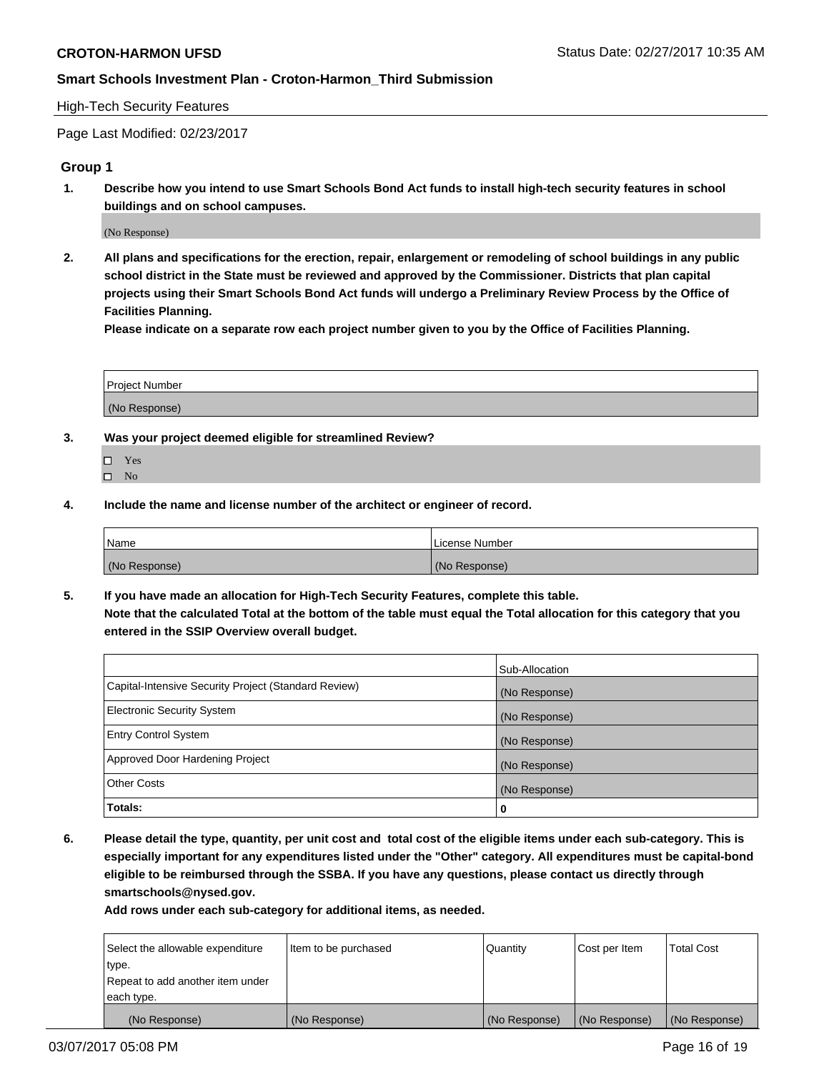#### High-Tech Security Features

Page Last Modified: 02/23/2017

### **Group 1**

**1. Describe how you intend to use Smart Schools Bond Act funds to install high-tech security features in school buildings and on school campuses.**

(No Response)

**2. All plans and specifications for the erection, repair, enlargement or remodeling of school buildings in any public school district in the State must be reviewed and approved by the Commissioner. Districts that plan capital projects using their Smart Schools Bond Act funds will undergo a Preliminary Review Process by the Office of Facilities Planning.** 

**Please indicate on a separate row each project number given to you by the Office of Facilities Planning.**

| Project Number |  |
|----------------|--|
|                |  |
| (No Response)  |  |

- **3. Was your project deemed eligible for streamlined Review?**
	- Yes  $\hfill \square$  No
- **4. Include the name and license number of the architect or engineer of record.**

| <b>Name</b>   | License Number |
|---------------|----------------|
| (No Response) | (No Response)  |

**5. If you have made an allocation for High-Tech Security Features, complete this table. Note that the calculated Total at the bottom of the table must equal the Total allocation for this category that you entered in the SSIP Overview overall budget.**

|                                                      | Sub-Allocation |
|------------------------------------------------------|----------------|
| Capital-Intensive Security Project (Standard Review) | (No Response)  |
| Electronic Security System                           | (No Response)  |
| <b>Entry Control System</b>                          | (No Response)  |
| Approved Door Hardening Project                      | (No Response)  |
| <b>Other Costs</b>                                   | (No Response)  |
| Totals:                                              | 0              |

**6. Please detail the type, quantity, per unit cost and total cost of the eligible items under each sub-category. This is especially important for any expenditures listed under the "Other" category. All expenditures must be capital-bond eligible to be reimbursed through the SSBA. If you have any questions, please contact us directly through smartschools@nysed.gov.**

| (No Response)                    | (No Response)        | (No Response) | (No Response) | (No Response)     |
|----------------------------------|----------------------|---------------|---------------|-------------------|
| each type.                       |                      |               |               |                   |
| Repeat to add another item under |                      |               |               |                   |
| type.                            |                      |               |               |                   |
| Select the allowable expenditure | Item to be purchased | Quantity      | Cost per Item | <b>Total Cost</b> |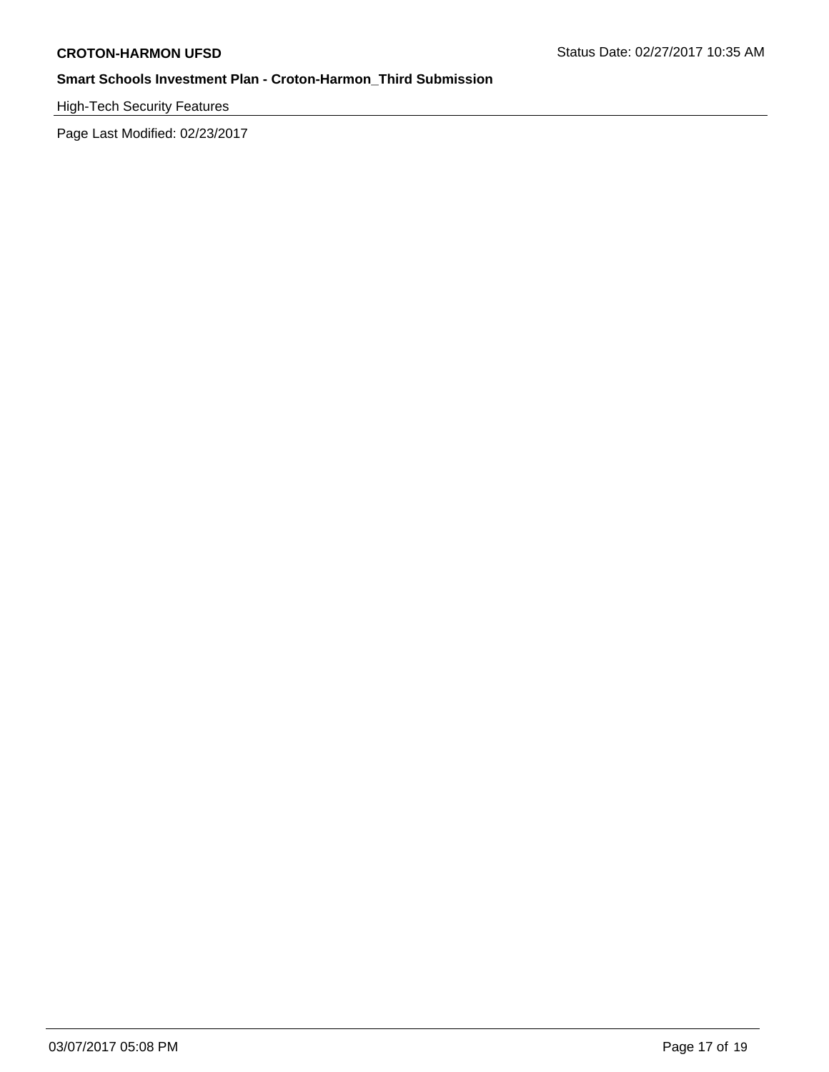High-Tech Security Features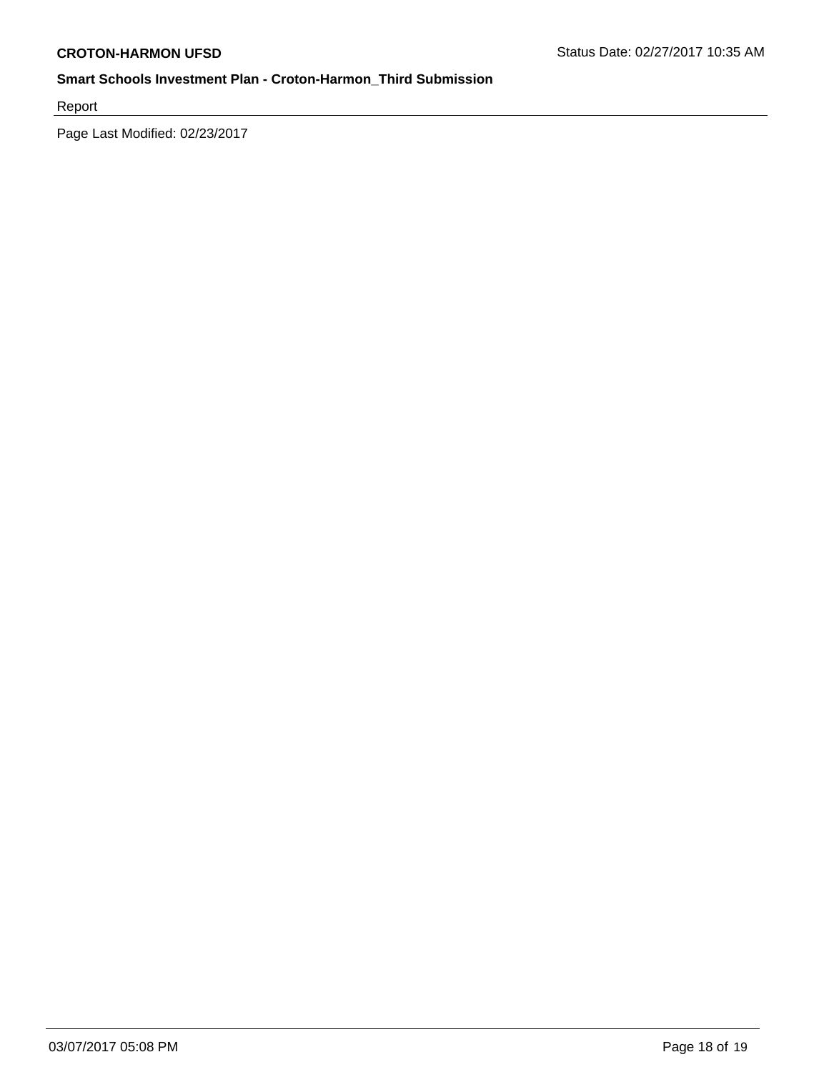Report